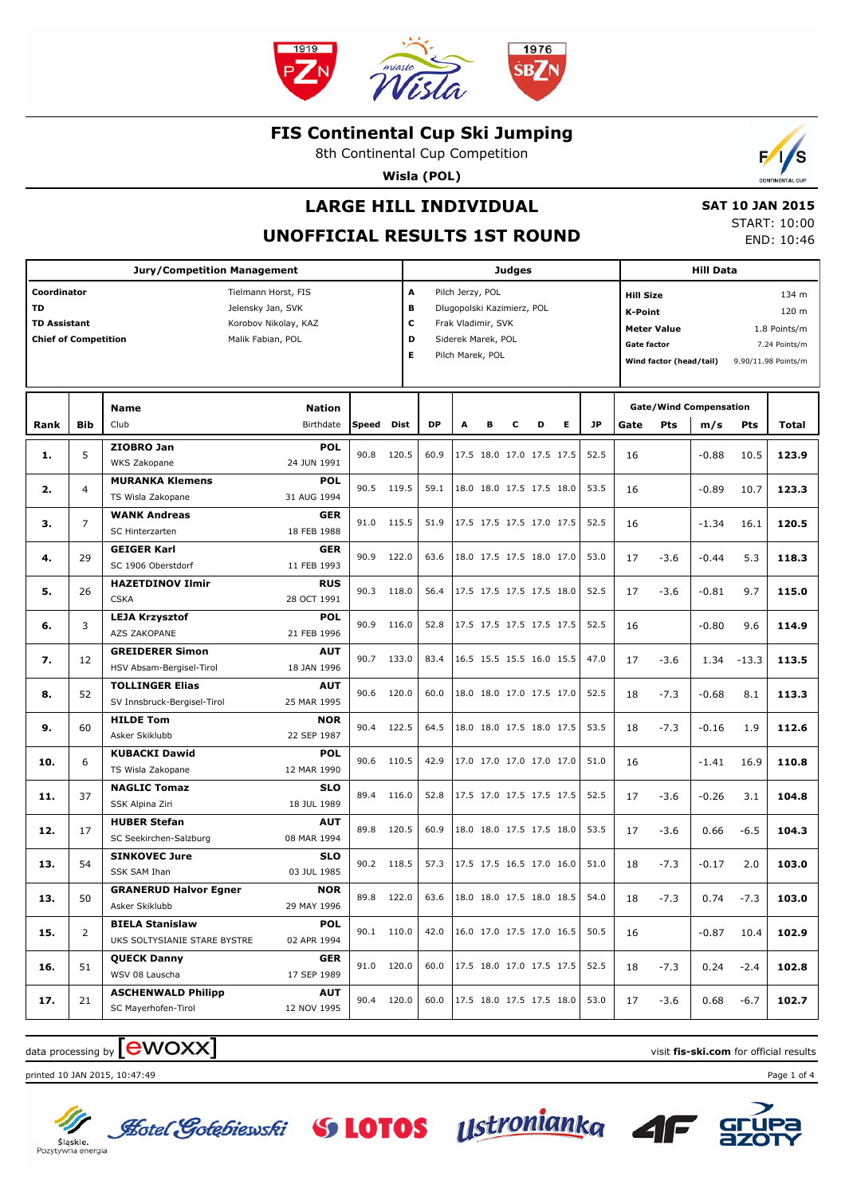

8th Continental Cup Competition

**Wisla (POL)**

## **LARGE HILL INDIVIDUAL**

 **SAT 10 JAN 2015** START: 10:00 END: 10:46

Б

## **UNOFFICIAL RESULTS 1ST ROUND**

|                                                                         |                | <b>Jury/Competition Management</b>                     |                                                                                       |              |             |                  |                                                                                                                |   | <b>Judges</b> |                          |   |           | <b>Hill Data</b>                                                                                          |                                                                        |         |         |       |  |
|-------------------------------------------------------------------------|----------------|--------------------------------------------------------|---------------------------------------------------------------------------------------|--------------|-------------|------------------|----------------------------------------------------------------------------------------------------------------|---|---------------|--------------------------|---|-----------|-----------------------------------------------------------------------------------------------------------|------------------------------------------------------------------------|---------|---------|-------|--|
| Coordinator<br>TD<br><b>TD Assistant</b><br><b>Chief of Competition</b> |                |                                                        | Tielmann Horst, FIS<br>Jelensky Jan, SVK<br>Korobov Nikolay, KAZ<br>Malik Fabian, POL |              | с           | A<br>в<br>D<br>E | Pilch Jerzy, POL<br>Dlugopolski Kazimierz, POL<br>Frak Vladimir, SVK<br>Siderek Marek, POL<br>Pilch Marek, POL |   |               |                          |   |           | <b>Hill Size</b><br><b>K-Point</b><br><b>Meter Value</b><br><b>Gate factor</b><br>Wind factor (head/tail) | 134 m<br>120 m<br>1.8 Points/m<br>7.24 Points/m<br>9.90/11.98 Points/m |         |         |       |  |
| Rank                                                                    | <b>Bib</b>     | Name<br>Club                                           | <b>Nation</b><br>Birthdate                                                            | <b>Speed</b> | <b>Dist</b> | <b>DP</b>        | A                                                                                                              | в | c             | D                        | Е | <b>JP</b> | Gate                                                                                                      | <b>Gate/Wind Compensation</b><br>Pts                                   | m/s     | Pts     | Total |  |
| 1.                                                                      | 5              | ZIOBRO Jan<br>WKS Zakopane                             | <b>POL</b><br>24 JUN 1991                                                             | 90.8         | 120.5       | 60.9             |                                                                                                                |   |               | 17.5 18.0 17.0 17.5 17.5 |   | 52.5      | 16                                                                                                        |                                                                        | $-0.88$ | 10.5    | 123.9 |  |
| 2.                                                                      | 4              | <b>MURANKA Klemens</b><br>TS Wisla Zakopane            | <b>POL</b><br>31 AUG 1994                                                             | 90.5 119.5   |             | 59.1             |                                                                                                                |   |               | 18.0 18.0 17.5 17.5 18.0 |   | 53.5      | 16                                                                                                        |                                                                        | $-0.89$ | 10.7    | 123.3 |  |
| з.                                                                      | $\overline{7}$ | <b>WANK Andreas</b><br>SC Hinterzarten                 | <b>GER</b><br>18 FEB 1988                                                             | 91.0 115.5   |             | 51.9             |                                                                                                                |   |               | 17.5 17.5 17.5 17.0 17.5 |   | 52.5      | 16                                                                                                        |                                                                        | $-1.34$ | 16.1    | 120.5 |  |
| 4.                                                                      | 29             | <b>GEIGER Karl</b><br>SC 1906 Oberstdorf               | <b>GER</b><br>11 FEB 1993                                                             | 90.9         | 122.0       | 63.6             |                                                                                                                |   |               | 18.0 17.5 17.5 18.0 17.0 |   | 53.0      | 17                                                                                                        | $-3.6$                                                                 | $-0.44$ | 5.3     | 118.3 |  |
| 5.                                                                      | 26             | <b>HAZETDINOV Ilmir</b><br><b>CSKA</b>                 | <b>RUS</b><br>28 OCT 1991                                                             | 90.3 118.0   |             | 56.4             |                                                                                                                |   |               | 17.5 17.5 17.5 17.5 18.0 |   | 52.5      | 17                                                                                                        | $-3.6$                                                                 | $-0.81$ | 9.7     | 115.0 |  |
| 6.                                                                      | 3              | <b>LEJA Krzysztof</b><br>AZS ZAKOPANE                  | <b>POL</b><br>21 FEB 1996                                                             | 90.9         | 116.0       | 52.8             |                                                                                                                |   |               | 17.5 17.5 17.5 17.5 17.5 |   | 52.5      | 16                                                                                                        |                                                                        | $-0.80$ | 9.6     | 114.9 |  |
| 7.                                                                      | 12             | <b>GREIDERER Simon</b><br>HSV Absam-Bergisel-Tirol     | <b>AUT</b><br>18 JAN 1996                                                             | 90.7 133.0   |             | 83.4             |                                                                                                                |   |               | 16.5 15.5 15.5 16.0 15.5 |   | 47.0      | 17                                                                                                        | $-3.6$                                                                 | 1.34    | $-13.3$ | 113.5 |  |
| 8.                                                                      | 52             | <b>TOLLINGER Elias</b><br>SV Innsbruck-Bergisel-Tirol  | <b>AUT</b><br>25 MAR 1995                                                             | 90.6         | 120.0       | 60.0             |                                                                                                                |   |               | 18.0 18.0 17.0 17.5 17.0 |   | 52.5      | 18                                                                                                        | $-7.3$                                                                 | $-0.68$ | 8.1     | 113.3 |  |
| 9.                                                                      | 60             | <b>HILDE Tom</b><br>Asker Skiklubb                     | <b>NOR</b><br>22 SEP 1987                                                             | 90.4         | 122.5       | 64.5             |                                                                                                                |   |               | 18.0 18.0 17.5 18.0 17.5 |   | 53.5      | 18                                                                                                        | $-7.3$                                                                 | $-0.16$ | 1.9     | 112.6 |  |
| 10.                                                                     | 6              | <b>KUBACKI Dawid</b><br>TS Wisla Zakopane              | <b>POL</b><br>12 MAR 1990                                                             | 90.6 110.5   |             | 42.9             |                                                                                                                |   |               | 17.0 17.0 17.0 17.0 17.0 |   | 51.0      | 16                                                                                                        |                                                                        | $-1.41$ | 16.9    | 110.8 |  |
| 11.                                                                     | 37             | <b>NAGLIC Tomaz</b><br>SSK Alpina Ziri                 | <b>SLO</b><br>18 JUL 1989                                                             | 89.4         | 116.0       | 52.8             |                                                                                                                |   |               | 17.5 17.0 17.5 17.5 17.5 |   | 52.5      | 17                                                                                                        | $-3.6$                                                                 | $-0.26$ | 3.1     | 104.8 |  |
| 12.                                                                     | 17             | <b>HUBER Stefan</b><br>SC Seekirchen-Salzburg          | <b>AUT</b><br>08 MAR 1994                                                             | 89.8         | 120.5       | 60.9             |                                                                                                                |   |               | 18.0 18.0 17.5 17.5 18.0 |   | 53.5      | 17                                                                                                        | $-3.6$                                                                 | 0.66    | $-6.5$  | 104.3 |  |
| 13.                                                                     | 54             | <b>SINKOVEC Jure</b><br>SSK SAM Ihan                   | <b>SLO</b><br>03 JUL 1985                                                             | 90.2 118.5   |             | 57.3             |                                                                                                                |   |               | 17.5 17.5 16.5 17.0 16.0 |   | 51.0      | 18                                                                                                        | $-7.3$                                                                 | $-0.17$ | 2.0     | 103.0 |  |
| 13.                                                                     | 50             | <b>GRANERUD Halvor Egner</b><br>Asker Skiklubb         | NOR<br>29 MAY 1996                                                                    | 89.8         | 122.0       | 63.6             |                                                                                                                |   |               | 18.0 18.0 17.5 18.0 18.5 |   | 54.0      | 18                                                                                                        | $-7.3$                                                                 | 0.74    | $-7.3$  | 103.0 |  |
| 15.                                                                     | $\overline{2}$ | <b>BIELA Stanislaw</b><br>UKS SOLTYSIANIE STARE BYSTRE | <b>POL</b><br>02 APR 1994                                                             | 90.1 110.0   |             | 42.0             |                                                                                                                |   |               | 16.0 17.0 17.5 17.0 16.5 |   | 50.5      | 16                                                                                                        |                                                                        | $-0.87$ | 10.4    | 102.9 |  |
| 16.                                                                     | 51             | <b>QUECK Danny</b><br>WSV 08 Lauscha                   | GER<br>17 SEP 1989                                                                    | 91.0 120.0   |             | 60.0             |                                                                                                                |   |               | 17.5 18.0 17.0 17.5 17.5 |   | 52.5      | 18                                                                                                        | $-7.3$                                                                 | 0.24    | $-2.4$  | 102.8 |  |
| 17.                                                                     | 21             | <b>ASCHENWALD Philipp</b><br>SC Mayerhofen-Tirol       | <b>AUT</b><br>12 NOV 1995                                                             | 90.4 120.0   |             | 60.0             |                                                                                                                |   |               | 17.5 18.0 17.5 17.5 18.0 |   | 53.0      | 17                                                                                                        | -3.6                                                                   | 0.68    | $-6.7$  | 102.7 |  |

**Lotel Gotebiewski** S **LOTOS** Ustronianka

# data processing by **CWOXX** and  $\blacksquare$  and  $\blacksquare$  and  $\blacksquare$  and  $\blacksquare$  and  $\blacksquare$  and  $\blacksquare$  and  $\blacksquare$  and  $\blacksquare$  and  $\blacksquare$  and  $\blacksquare$  and  $\blacksquare$  and  $\blacksquare$  and  $\blacksquare$  and  $\blacksquare$  and  $\blacksquare$  and  $\blacksquare$  and  $\blacksquare$  and  $\blacks$

printed 10 JAN 2015, 10:47:49 Page 1 of 4



Sląskie.<br>Pozytywna energia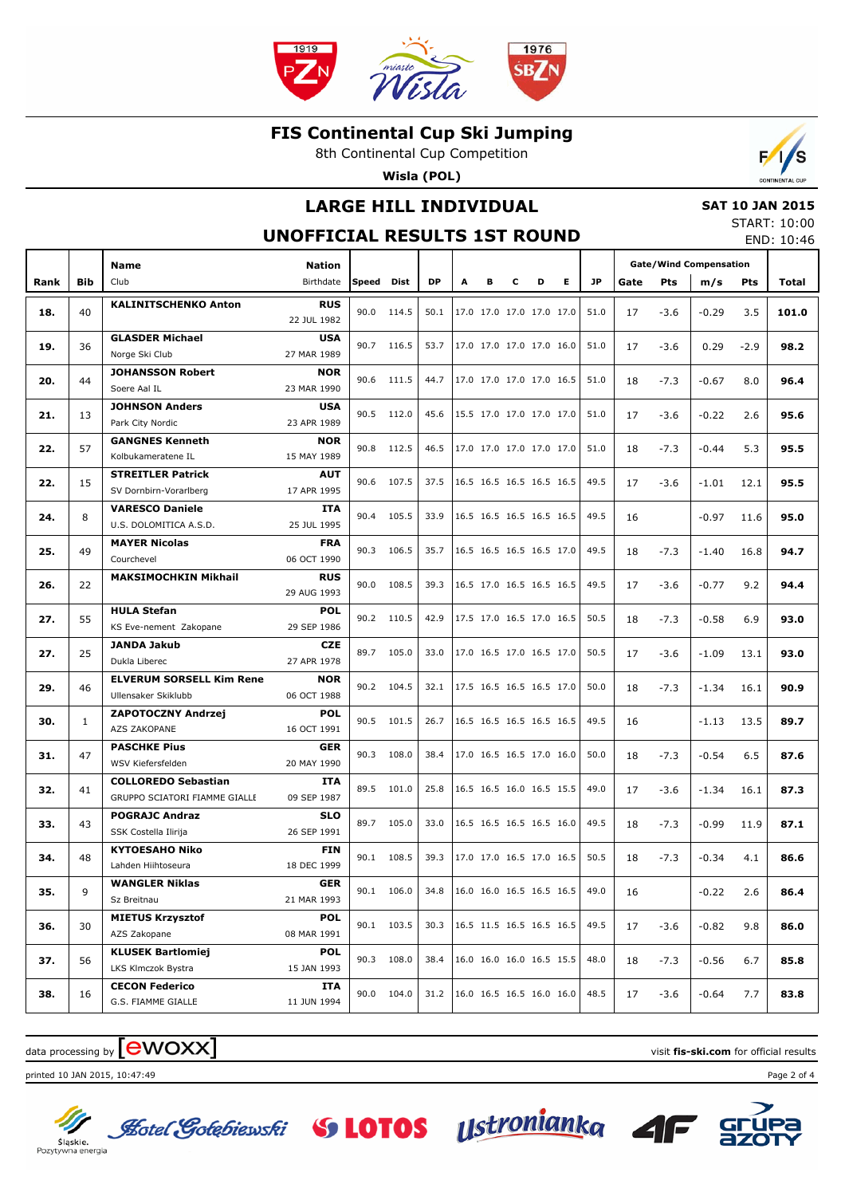

8th Continental Cup Competition

**Wisla (POL)**

## **LARGE HILL INDIVIDUAL**

### **SAT 10 JAN 2015**

#### **UNOFFICIAL RESULTS 1ST ROUND**

START: 10:00 END: 10:46

 $\mathbf{r}$ 

|      |              | Name                                                             | <b>Nation</b>             |       |               |           |   |   |                          |                          |                          |      | <b>Gate/Wind Compensation</b> |         |         |        |       |  |
|------|--------------|------------------------------------------------------------------|---------------------------|-------|---------------|-----------|---|---|--------------------------|--------------------------|--------------------------|------|-------------------------------|---------|---------|--------|-------|--|
| Rank | Bib          | Club                                                             | Birthdate                 | Speed | Dist          | <b>DP</b> | A | в | c                        | D                        | Е                        | JP.  | Gate                          | Pts     | m/s     | Pts    | Total |  |
|      |              | <b>KALINITSCHENKO Anton</b>                                      | <b>RUS</b>                |       |               |           |   |   |                          |                          |                          |      |                               |         |         |        |       |  |
| 18.  | 40           |                                                                  | 22 JUL 1982               | 90.0  | 114.5         | 50.1      |   |   |                          | 17.0 17.0 17.0 17.0 17.0 |                          | 51.0 | 17                            | $-3.6$  | $-0.29$ | 3.5    | 101.0 |  |
|      |              | <b>GLASDER Michael</b>                                           | <b>USA</b>                |       |               |           |   |   |                          |                          |                          |      |                               |         |         |        |       |  |
| 19.  | 36           | Norge Ski Club                                                   | 27 MAR 1989               |       | 90.7<br>116.5 | 53.7      |   |   |                          | 17.0 17.0 17.0 17.0 16.0 |                          | 51.0 | 17                            | $-3.6$  | 0.29    | $-2.9$ | 98.2  |  |
| 20.  | 44           | <b>JOHANSSON Robert</b>                                          | <b>NOR</b>                | 90.6  | 111.5         | 44.7      |   |   |                          | 17.0 17.0 17.0 17.0 16.5 |                          | 51.0 | 18                            | $-7.3$  | $-0.67$ | 8.0    | 96.4  |  |
|      |              | Soere Aal IL                                                     | 23 MAR 1990               |       |               |           |   |   |                          |                          |                          |      |                               |         |         |        |       |  |
| 21.  | 13           | <b>JOHNSON Anders</b>                                            | <b>USA</b>                |       | 90.5 112.0    | 45.6      |   |   |                          | 15.5 17.0 17.0 17.0 17.0 |                          | 51.0 | 17                            | $-3.6$  | $-0.22$ | 2.6    | 95.6  |  |
|      |              | Park City Nordic                                                 | 23 APR 1989               |       |               |           |   |   |                          |                          |                          |      |                               |         |         |        |       |  |
| 22.  | 57           | <b>GANGNES Kenneth</b>                                           | <b>NOR</b>                | 90.8  | 112.5         | 46.5      |   |   |                          | 17.0 17.0 17.0 17.0 17.0 |                          | 51.0 | 18                            | $-7.3$  | $-0.44$ | 5.3    | 95.5  |  |
|      |              | Kolbukameratene IL                                               | 15 MAY 1989               |       |               |           |   |   |                          |                          |                          |      |                               |         |         |        |       |  |
| 22.  | 15           | <b>STREITLER Patrick</b>                                         | <b>AUT</b>                | 90.6  | 107.5         | 37.5      |   |   |                          |                          | 16.5 16.5 16.5 16.5 16.5 | 49.5 | 17                            | $-3.6$  | $-1.01$ | 12.1   | 95.5  |  |
|      |              | SV Dornbirn-Vorarlberg                                           | 17 APR 1995               |       |               |           |   |   |                          |                          |                          |      |                               |         |         |        |       |  |
| 24.  | 8            | <b>VARESCO Daniele</b>                                           | <b>ITA</b><br>25 JUL 1995 | 90.4  | 105.5         | 33.9      |   |   |                          | 16.5 16.5 16.5 16.5 16.5 |                          | 49.5 | 16                            |         | $-0.97$ | 11.6   | 95.0  |  |
|      |              | U.S. DOLOMITICA A.S.D.<br><b>MAYER Nicolas</b>                   | <b>FRA</b>                |       |               |           |   |   |                          |                          |                          |      |                               |         |         |        |       |  |
| 25.  | 49           | Courchevel                                                       | 06 OCT 1990               | 90.3  | 106.5         | 35.7      |   |   |                          | 16.5 16.5 16.5 16.5 17.0 |                          | 49.5 | 18                            | $-7.3$  | $-1.40$ | 16.8   | 94.7  |  |
|      |              | <b>MAKSIMOCHKIN Mikhail</b>                                      | <b>RUS</b>                |       |               |           |   |   |                          |                          |                          |      |                               |         |         |        |       |  |
| 26.  | 22           |                                                                  | 29 AUG 1993               | 90.0  | 108.5         | 39.3      |   |   |                          | 16.5 17.0 16.5 16.5 16.5 |                          | 49.5 | 17                            | $-3.6$  | $-0.77$ | 9.2    | 94.4  |  |
|      |              | <b>HULA Stefan</b>                                               | <b>POL</b>                |       |               |           |   |   |                          |                          |                          |      |                               |         |         |        |       |  |
| 27.  | 55           | KS Eve-nement Zakopane                                           | 29 SEP 1986               |       | 90.2 110.5    | 42.9      |   |   |                          | 17.5 17.0 16.5 17.0 16.5 |                          | 50.5 | 18                            | $-7.3$  | $-0.58$ | 6.9    | 93.0  |  |
|      |              | <b>JANDA Jakub</b><br><b>CZE</b><br>27 APR 1978<br>Dukla Liberec |                           |       |               |           |   |   |                          |                          |                          |      |                               | $-1.09$ | 13.1    |        |       |  |
| 27.  | 25           |                                                                  | 89.7                      | 105.0 | 33.0          |           |   |   | 17.0 16.5 17.0 16.5 17.0 |                          | 50.5                     | 17   | $-3.6$                        |         |         | 93.0   |       |  |
| 29.  | 46           | <b>ELVERUM SORSELL Kim Rene</b>                                  | <b>NOR</b>                | 90.2  | 104.5         | 32.1      |   |   |                          | 17.5 16.5 16.5 16.5 17.0 |                          | 50.0 | 18                            | $-7.3$  | $-1.34$ | 16.1   | 90.9  |  |
|      |              | Ullensaker Skiklubb                                              | 06 OCT 1988               |       |               |           |   |   |                          |                          |                          |      |                               |         |         |        |       |  |
| 30.  | $\mathbf{1}$ | <b>ZAPOTOCZNY Andrzej</b>                                        | <b>POL</b>                | 90.5  | 101.5         | 26.7      |   |   |                          | 16.5 16.5 16.5 16.5 16.5 |                          | 49.5 | 16                            |         | $-1.13$ | 13.5   | 89.7  |  |
|      |              | AZS ZAKOPANE                                                     | 16 OCT 1991               |       |               |           |   |   |                          |                          |                          |      |                               |         |         |        |       |  |
| 31.  | 47           | <b>PASCHKE Pius</b>                                              | <b>GER</b>                | 90.3  | 108.0         | 38.4      |   |   |                          | 17.0 16.5 16.5 17.0 16.0 |                          | 50.0 | 18                            | $-7.3$  | $-0.54$ | 6.5    | 87.6  |  |
|      |              | WSV Kiefersfelden                                                | 20 MAY 1990               |       |               |           |   |   |                          |                          |                          |      |                               |         |         |        |       |  |
| 32.  | 41           | <b>COLLOREDO Sebastian</b>                                       | <b>ITA</b>                | 89.5  | 101.0         | 25.8      |   |   |                          | 16.5 16.5 16.0 16.5 15.5 |                          | 49.0 | 17                            | $-3.6$  | $-1.34$ | 16.1   | 87.3  |  |
|      |              | GRUPPO SCIATORI FIAMME GIALLE                                    | 09 SEP 1987               |       |               |           |   |   |                          |                          |                          |      |                               |         |         |        |       |  |
| 33.  | 43           | <b>POGRAJC Andraz</b><br>SSK Costella Ilirija                    | <b>SLO</b><br>26 SEP 1991 | 89.7  | 105.0         | 33.0      |   |   |                          | 16.5 16.5 16.5 16.5 16.0 |                          | 49.5 | 18                            | $-7.3$  | $-0.99$ | 11.9   | 87.1  |  |
|      |              | <b>KYTOESAHO Niko</b>                                            | <b>FIN</b>                |       |               |           |   |   |                          |                          |                          |      |                               |         |         |        |       |  |
| 34.  | 48           | Lahden Hiihtoseura                                               | 18 DEC 1999               | 90.1  | 108.5         | 39.3      |   |   |                          | 17.0 17.0 16.5 17.0 16.5 |                          | 50.5 | 18                            | $-7.3$  | $-0.34$ | 4.1    | 86.6  |  |
|      |              | <b>WANGLER Niklas</b>                                            | GER                       |       |               |           |   |   |                          |                          |                          |      |                               |         |         |        |       |  |
| 35.  | 9            | Sz Breitnau                                                      | 21 MAR 1993               |       | 90.1 106.0    | 34.8      |   |   |                          | 16.0 16.0 16.5 16.5 16.5 |                          | 49.0 | 16                            |         | $-0.22$ | 2.6    | 86.4  |  |
|      |              | <b>MIETUS Krzysztof</b>                                          | <b>POL</b>                |       |               |           |   |   |                          |                          |                          |      |                               |         |         |        |       |  |
| 36.  | 30           | AZS Zakopane                                                     | 08 MAR 1991               |       | 90.1 103.5    | 30.3      |   |   |                          | 16.5 11.5 16.5 16.5 16.5 |                          | 49.5 | 17                            | $-3.6$  | $-0.82$ | 9.8    | 86.0  |  |
|      |              | <b>KLUSEK Bartlomiej</b>                                         | <b>POL</b>                |       |               |           |   |   |                          |                          |                          |      |                               |         |         |        |       |  |
| 37.  | 56           | LKS Klmczok Bystra                                               | 15 JAN 1993               |       | 90.3 108.0    | 38.4      |   |   |                          | 16.0 16.0 16.0 16.5 15.5 |                          | 48.0 | 18                            | $-7.3$  | $-0.56$ | 6.7    | 85.8  |  |
|      |              | <b>CECON Federico</b>                                            | ITA                       |       |               |           |   |   |                          |                          |                          |      |                               |         |         |        |       |  |
| 38.  | 16           | G.S. FIAMME GIALLE                                               | 11 JUN 1994               | 90.0  | 104.0         | 31.2      |   |   |                          | 16.0 16.5 16.5 16.0 16.0 |                          | 48.5 | 17                            | $-3.6$  | $-0.64$ | 7.7    | 83.8  |  |

# data processing by **CWOXX**  $\blacksquare$

printed 10 JAN 2015, 10:47:49 Page 2 of 4



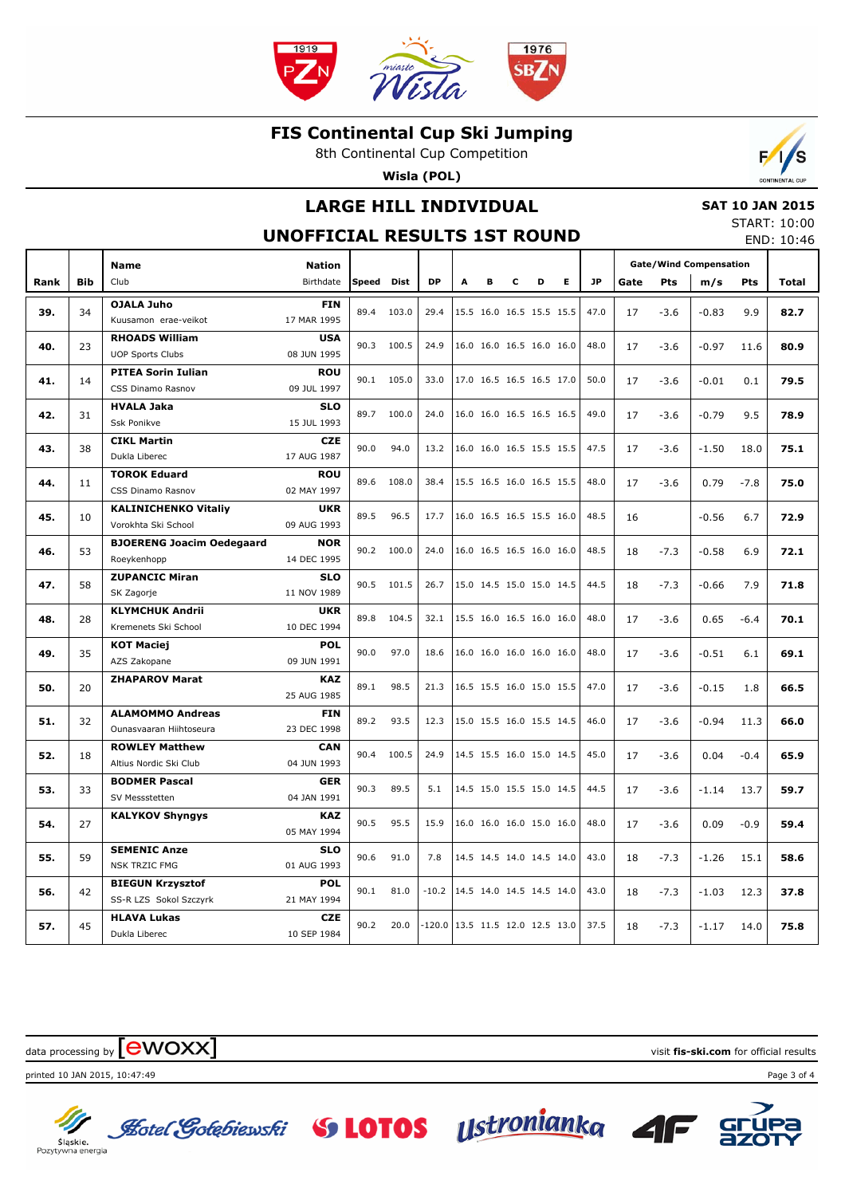

8th Continental Cup Competition

**Wisla (POL)**

## **LARGE HILL INDIVIDUAL**

#### **SAT 10 JAN 2015**

**UNOFFICIAL RESULTS 1ST ROUND**

START: 10:00 END: 10:46

 $\mathcal{L}$ 

|      |            | <b>Name</b>                              | <b>Nation</b>             |            |       |          |   |   |   |                          |                          |           | <b>Gate/Wind Compensation</b> |        |         |        |              |
|------|------------|------------------------------------------|---------------------------|------------|-------|----------|---|---|---|--------------------------|--------------------------|-----------|-------------------------------|--------|---------|--------|--------------|
| Rank | <b>Bib</b> | Club                                     | Birthdate                 | Speed Dist |       | DP       | A | в | c | D                        | E.                       | <b>JP</b> | Gate                          | Pts    | m/s     | Pts    | <b>Total</b> |
|      |            | <b>OJALA Juho</b>                        | <b>FIN</b>                |            |       |          |   |   |   |                          |                          |           |                               |        |         |        |              |
| 39.  | 34         | Kuusamon erae-veikot                     | 17 MAR 1995               | 89.4       | 103.0 | 29.4     |   |   |   | 15.5 16.0 16.5 15.5 15.5 |                          | 47.0      | 17                            | $-3.6$ | $-0.83$ | 9.9    | 82.7         |
| 40.  | 23         | <b>RHOADS William</b>                    | <b>USA</b>                | 90.3       | 100.5 | 24.9     |   |   |   | 16.0 16.0 16.5 16.0 16.0 |                          | 48.0      | 17                            | $-3.6$ | $-0.97$ | 11.6   | 80.9         |
|      |            | <b>UOP Sports Clubs</b>                  | 08 JUN 1995               |            |       |          |   |   |   |                          |                          |           |                               |        |         |        |              |
| 41.  | 14         | <b>PITEA Sorin Iulian</b>                | <b>ROU</b>                | 90.1       | 105.0 | 33.0     |   |   |   | 17.0 16.5 16.5 16.5 17.0 |                          | 50.0      | 17                            | $-3.6$ | $-0.01$ | 0.1    | 79.5         |
|      |            | CSS Dinamo Rasnov                        | 09 JUL 1997               |            |       |          |   |   |   |                          |                          |           |                               |        |         |        |              |
| 42.  | 31         | <b>HVALA Jaka</b>                        | <b>SLO</b>                | 89.7       | 100.0 | 24.0     |   |   |   | 16.0 16.0 16.5 16.5 16.5 |                          | 49.0      | 17                            | $-3.6$ | $-0.79$ | 9.5    | 78.9         |
|      |            | <b>Ssk Ponikve</b>                       | 15 JUL 1993               |            |       |          |   |   |   |                          |                          |           |                               |        |         |        |              |
| 43.  | 38         | <b>CIKL Martin</b>                       | <b>CZE</b>                | 90.0       | 94.0  | 13.2     |   |   |   | 16.0 16.0 16.5 15.5 15.5 |                          | 47.5      | 17                            | $-3.6$ | $-1.50$ | 18.0   | 75.1         |
|      |            | Dukla Liberec                            | 17 AUG 1987               |            |       |          |   |   |   |                          |                          |           |                               |        |         |        |              |
| 44.  | 11         | <b>TOROK Eduard</b><br>CSS Dinamo Rasnov | <b>ROU</b><br>02 MAY 1997 | 89.6       | 108.0 | 38.4     |   |   |   | 15.5 16.5 16.0 16.5 15.5 |                          | 48.0      | 17                            | $-3.6$ | 0.79    | $-7.8$ | 75.0         |
|      |            | <b>KALINICHENKO Vitaliy</b>              | <b>UKR</b>                |            |       |          |   |   |   |                          |                          |           |                               |        |         |        |              |
| 45.  | 10         | Vorokhta Ski School                      | 09 AUG 1993               | 89.5       | 96.5  | 17.7     |   |   |   | 16.0 16.5 16.5 15.5 16.0 |                          | 48.5      | 16                            |        | $-0.56$ | 6.7    | 72.9         |
|      |            | <b>BJOERENG Joacim Oedegaard</b>         | <b>NOR</b>                |            |       |          |   |   |   |                          |                          |           |                               |        |         |        |              |
| 46.  | 53         | Roeykenhopp                              | 14 DEC 1995               | 90.2       | 100.0 | 24.0     |   |   |   | 16.0 16.5 16.5 16.0 16.0 |                          | 48.5      | 18                            | $-7.3$ | $-0.58$ | 6.9    | 72.1         |
|      |            | <b>ZUPANCIC Miran</b>                    | <b>SLO</b>                |            |       |          |   |   |   |                          |                          |           |                               |        |         |        |              |
| 47.  | 58         | SK Zagorje                               | 11 NOV 1989               | 90.5       | 101.5 | 26.7     |   |   |   | 15.0 14.5 15.0 15.0 14.5 |                          | 44.5      | 18                            | $-7.3$ | $-0.66$ | 7.9    | 71.8         |
|      |            | <b>KLYMCHUK Andrii</b>                   | <b>UKR</b>                | 89.8       |       |          |   |   |   |                          |                          |           |                               |        |         |        |              |
| 48.  | 28         | Kremenets Ski School                     | 10 DEC 1994               |            | 104.5 | 32.1     |   |   |   | 15.5 16.0 16.5 16.0 16.0 |                          | 48.0      | 17                            | $-3.6$ | 0.65    | $-6.4$ | 70.1         |
| 49.  | 35         | <b>KOT Maciej</b>                        | <b>POL</b>                | 90.0       | 97.0  | 18.6     |   |   |   |                          | 16.0 16.0 16.0 16.0 16.0 | 48.0      | 17                            | $-3.6$ | $-0.51$ | 6.1    | 69.1         |
|      |            | AZS Zakopane                             | 09 JUN 1991               |            |       |          |   |   |   |                          |                          |           |                               |        |         |        |              |
| 50.  | 20         | <b>ZHAPAROV Marat</b>                    | <b>KAZ</b>                | 89.1       | 98.5  | 21.3     |   |   |   | 16.5 15.5 16.0 15.0 15.5 |                          | 47.0      | 17                            | $-3.6$ | $-0.15$ | 1.8    | 66.5         |
|      |            |                                          | 25 AUG 1985               |            |       |          |   |   |   |                          |                          |           |                               |        |         |        |              |
| 51.  | 32         | <b>ALAMOMMO Andreas</b>                  | <b>FIN</b>                | 89.2       | 93.5  | 12.3     |   |   |   | 15.0 15.5 16.0 15.5 14.5 |                          | 46.0      | 17                            | $-3.6$ | $-0.94$ | 11.3   | 66.0         |
|      |            | Ounasyaaran Hiihtoseura                  | 23 DEC 1998               |            |       |          |   |   |   |                          |                          |           |                               |        |         |        |              |
| 52.  | 18         | <b>ROWLEY Matthew</b>                    | <b>CAN</b>                | 90.4       | 100.5 | 24.9     |   |   |   | 14.5 15.5 16.0 15.0 14.5 |                          | 45.0      | 17                            | $-3.6$ | 0.04    | $-0.4$ | 65.9         |
|      |            | Altius Nordic Ski Club                   | 04 JUN 1993               |            |       |          |   |   |   |                          |                          |           |                               |        |         |        |              |
| 53.  | 33         | <b>BODMER Pascal</b><br>SV Messstetten   | <b>GER</b><br>04 JAN 1991 | 90.3       | 89.5  | 5.1      |   |   |   | 14.5 15.0 15.5 15.0 14.5 |                          | 44.5      | 17                            | $-3.6$ | $-1.14$ | 13.7   | 59.7         |
|      |            | <b>KALYKOV Shyngys</b>                   | <b>KAZ</b>                |            |       |          |   |   |   |                          |                          |           |                               |        |         |        |              |
| 54.  | 27         |                                          | 05 MAY 1994               | 90.5       | 95.5  | 15.9     |   |   |   | 16.0 16.0 16.0 15.0 16.0 |                          | 48.0      | 17                            | $-3.6$ | 0.09    | $-0.9$ | 59.4         |
|      |            | <b>SEMENIC Anze</b>                      | <b>SLO</b>                |            |       |          |   |   |   |                          |                          |           |                               |        |         |        |              |
| 55.  | 59         | <b>NSK TRZIC FMG</b>                     | 01 AUG 1993               | 90.6       | 91.0  | 7.8      |   |   |   | 14.5 14.5 14.0 14.5 14.0 |                          | 43.0      | 18                            | $-7.3$ | $-1.26$ | 15.1   | 58.6         |
|      |            | <b>BIEGUN Krzysztof</b>                  | <b>POL</b>                |            |       |          |   |   |   |                          |                          |           |                               |        |         |        |              |
| 56.  | 42         | SS-R LZS Sokol Szczyrk                   | 21 MAY 1994               | 90.1       | 81.0  | $-10.2$  |   |   |   | 14.5 14.0 14.5 14.5 14.0 |                          | 43.0      | 18                            | $-7.3$ | $-1.03$ | 12.3   | 37.8         |
|      |            | <b>HLAVA Lukas</b>                       | <b>CZE</b>                | 90.2       | 20.0  | $-120.0$ |   |   |   | 13.5 11.5 12.0 12.5 13.0 |                          | 37.5      |                               |        |         |        |              |
| 57.  | 45         | Dukla Liberec                            | 10 SEP 1984               |            |       |          |   |   |   |                          |                          |           | 18                            | $-7.3$ | $-1.17$ | 14.0   | 75.8         |

data processing by **CWOXX** and  $\blacksquare$  and  $\blacksquare$  and  $\blacksquare$  and  $\blacksquare$  and  $\blacksquare$  and  $\blacksquare$  and  $\blacksquare$  and  $\blacksquare$  and  $\blacksquare$  and  $\blacksquare$  and  $\blacksquare$  and  $\blacksquare$  and  $\blacksquare$  and  $\blacksquare$  and  $\blacksquare$  and  $\blacksquare$  and  $\blacksquare$  and  $\blacks$ 



printed 10 JAN 2015, 10:47:49 Page 3 of 4